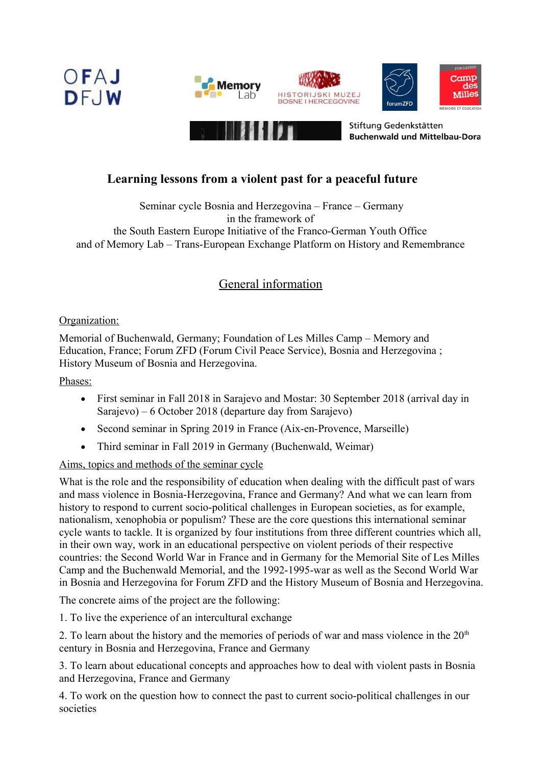







Stiftung Gedenkstätten **Buchenwald und Mittelbau-Dora** 

## **Learning lessons from a violent past for a peaceful future**

Seminar cycle Bosnia and Herzegovina – France – Germany in the framework of the South Eastern Europe Initiative of the Franco-German Youth Office and of Memory Lab – Trans-European Exchange Platform on History and Remembrance

# General information

## Organization:

Memorial of Buchenwald, Germany; Foundation of Les Milles Camp – Memory and Education, France; Forum ZFD (Forum Civil Peace Service), Bosnia and Herzegovina ; History Museum of Bosnia and Herzegovina.

Phases:

- First seminar in Fall 2018 in Sarajevo and Mostar: 30 September 2018 (arrival day in Sarajevo) – 6 October 2018 (departure day from Sarajevo)
- Second seminar in Spring 2019 in France (Aix-en-Provence, Marseille)
- Third seminar in Fall 2019 in Germany (Buchenwald, Weimar)

## Aims, topics and methods of the seminar cycle

What is the role and the responsibility of education when dealing with the difficult past of wars and mass violence in Bosnia-Herzegovina, France and Germany? And what we can learn from history to respond to current socio-political challenges in European societies, as for example, nationalism, xenophobia or populism? These are the core questions this international seminar cycle wants to tackle. It is organized by four institutions from three different countries which all, in their own way, work in an educational perspective on violent periods of their respective countries: the Second World War in France and in Germany for the Memorial Site of Les Milles Camp and the Buchenwald Memorial, and the 1992-1995-war as well as the Second World War in Bosnia and Herzegovina for Forum ZFD and the History Museum of Bosnia and Herzegovina.

The concrete aims of the project are the following:

1. To live the experience of an intercultural exchange

2. To learn about the history and the memories of periods of war and mass violence in the  $20<sup>th</sup>$ century in Bosnia and Herzegovina, France and Germany

3. To learn about educational concepts and approaches how to deal with violent pasts in Bosnia and Herzegovina, France and Germany

4. To work on the question how to connect the past to current socio-political challenges in our societies